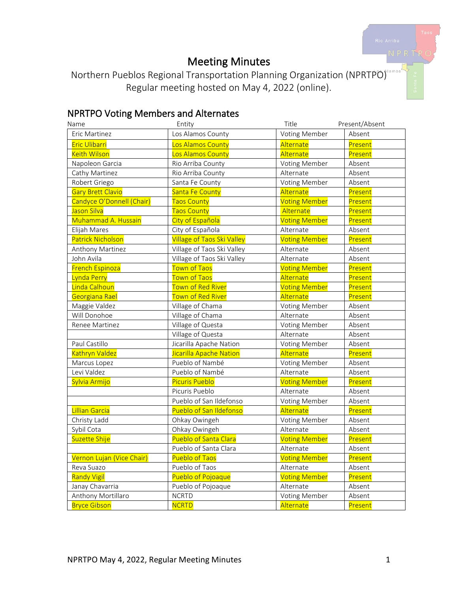# Meeting Minutes

Northern Pueblos Regional Transportation Planning Organization (NPRTPO) Regular meeting hosted on May 4, 2022 (online).

# NPRTPO Voting Members and Alternates

| Name                      | Entity                            | Title                | Present/Absent |
|---------------------------|-----------------------------------|----------------------|----------------|
| Eric Martinez             | Los Alamos County                 | Voting Member        | Absent         |
| <b>Eric Ulibarri</b>      | Los Alamos County                 | Alternate            | Present        |
| <b>Keith Wilson</b>       | Los Alamos County                 | Alternate            | Present        |
| Napoleon Garcia           | Rio Arriba County                 | Voting Member        | Absent         |
| Cathy Martinez            | Rio Arriba County                 | Alternate            | Absent         |
| Robert Griego             | Santa Fe County                   | Voting Member        | Absent         |
| <b>Gary Brett Clavio</b>  | Santa Fe County                   | Alternate            | Present        |
| Candyce O'Donnell (Chair) | <b>Taos County</b>                | <b>Voting Member</b> | Present        |
| Jason Silva               | <b>Taos County</b>                | Alternate            | Present        |
| Muhammad A. Hussain       | City of Española                  | <b>Voting Member</b> | Present        |
| Elijah Mares              | City of Española                  | Alternate            | Absent         |
| <b>Patrick Nicholson</b>  | <b>Village of Taos Ski Valley</b> | <b>Voting Member</b> | Present        |
| Anthony Martinez          | Village of Taos Ski Valley        | Alternate            | Absent         |
| John Avila                | Village of Taos Ski Valley        | Alternate            | Absent         |
| <b>French Espinoza</b>    | Town of Taos                      | <b>Voting Member</b> | Present        |
| Lynda Perry               | <b>Town of Taos</b>               | Alternate            | Present        |
| Linda Calhoun             | Town of Red River                 | <b>Voting Member</b> | Present        |
| Georgiana Rael            | Town of Red River                 | Alternate            | Present        |
| Maggie Valdez             | Village of Chama                  | Voting Member        | Absent         |
| Will Donohoe              | Village of Chama                  | Alternate            | Absent         |
| Renee Martinez            | Village of Questa                 | Voting Member        | Absent         |
|                           | Village of Questa                 | Alternate            | Absent         |
| Paul Castillo             | Jicarilla Apache Nation           | Voting Member        | Absent         |
| Kathryn Valdez            | Jicarilla Apache Nation           | Alternate            | Present        |
| Marcus Lopez              | Pueblo of Nambé                   | Voting Member        | Absent         |
| Levi Valdez               | Pueblo of Nambé                   | Alternate            | Absent         |
| Sylvia Armijo             | <b>Picuris Pueblo</b>             | <b>Voting Member</b> | Present        |
|                           | Picuris Pueblo                    | Alternate            | Absent         |
|                           | Pueblo of San Ildefonso           | Voting Member        | Absent         |
| Lillian Garcia            | Pueblo of San Ildefonso           | Alternate            | Present        |
| Christy Ladd              | Ohkay Owingeh                     | Voting Member        | Absent         |
| Sybil Cota                | Ohkay Owingeh                     | Alternate            | Absent         |
| Suzette Shije             | Pueblo of Santa Clara             | <b>Voting Member</b> | Present        |
|                           | Pueblo of Santa Clara             | Alternate            | Absent         |
| Vernon Lujan (Vice Chair) | Pueblo of Taos                    | <b>Voting Member</b> | Present        |
| Reva Suazo                | Pueblo of Taos                    | Alternate            | Absent         |
| <b>Randy Vigil</b>        | Pueblo of Pojoaque                | <b>Voting Member</b> | Present        |
| Janay Chavarria           | Pueblo of Pojoaque                | Alternate            | Absent         |
| Anthony Mortillaro        | <b>NCRTD</b>                      | Voting Member        | Absent         |
| <b>Bryce Gibson</b>       | <b>NCRTD</b>                      | Alternate            | Present        |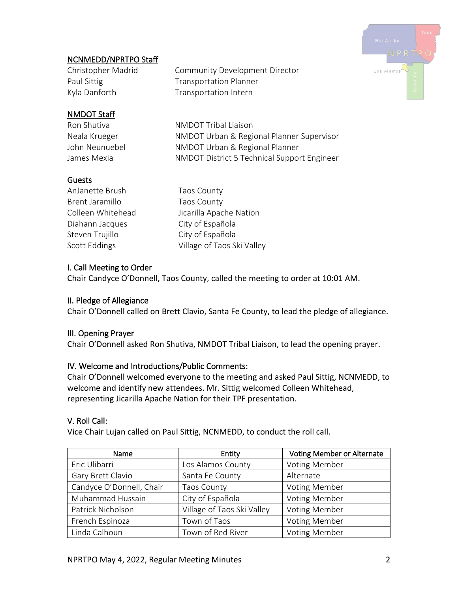# .<br>Los Alamos

# NCNMEDD/NPRTPO Staff

Christopher Madrid Community Development Director Paul Sittig **Transportation Planner** Kyla Danforth Transportation Intern

# NMDOT Staff

Ron Shutiva **NMDOT** Tribal Liaison Neala Krueger NMDOT Urban & Regional Planner Supervisor John Neunuebel NMDOT Urban & Regional Planner James Mexia **NMDOT** District 5 Technical Support Engineer

# Guests

| AnJanette Brush   | <b>Taos County</b>         |
|-------------------|----------------------------|
| Brent Jaramillo   | <b>Taos County</b>         |
| Colleen Whitehead | Jicarilla Apache Nation    |
| Diahann Jacques   | City of Española           |
| Steven Trujillo   | City of Española           |
| Scott Eddings     | Village of Taos Ski Valley |
|                   |                            |

# I. Call Meeting to Order

Chair Candyce O'Donnell, Taos County, called the meeting to order at 10:01 AM.

# II. Pledge of Allegiance

Chair O'Donnell called on Brett Clavio, Santa Fe County, to lead the pledge of allegiance.

# III. Opening Prayer

Chair O'Donnell asked Ron Shutiva, NMDOT Tribal Liaison, to lead the opening prayer.

# IV. Welcome and Introductions/Public Comments:

Chair O'Donnell welcomed everyone to the meeting and asked Paul Sittig, NCNMEDD, to welcome and identify new attendees. Mr. Sittig welcomed Colleen Whitehead, representing Jicarilla Apache Nation for their TPF presentation.

# V. Roll Call:

Vice Chair Lujan called on Paul Sittig, NCNMEDD, to conduct the roll call.

| <b>Name</b>              | Entity                     | <b>Voting Member or Alternate</b> |
|--------------------------|----------------------------|-----------------------------------|
| Eric Ulibarri            | Los Alamos County          | Voting Member                     |
| Gary Brett Clavio        | Santa Fe County            | Alternate                         |
| Candyce O'Donnell, Chair | Taos County                | <b>Voting Member</b>              |
| Muhammad Hussain         | City of Española           | <b>Voting Member</b>              |
| Patrick Nicholson        | Village of Taos Ski Valley | Voting Member                     |
| French Espinoza          | Town of Taos               | Voting Member                     |
| Linda Calhoun            | Town of Red River          | <b>Voting Member</b>              |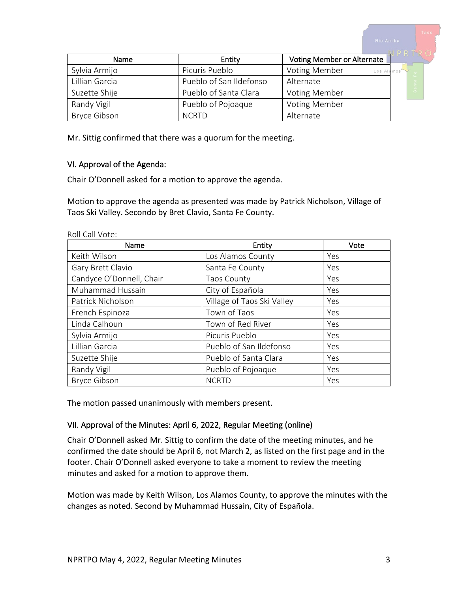Name  $\vert$  Entity Voting Member or Alternate Sylvia Armijo **Picuris Pueblo** Voting Member Los A Lillian Garcia **Pueblo of San Ildefonso** | Alternate Suzette Shije **Pueblo of Santa Clara** Voting Member Randy Vigil **Randy Vigil** Pueblo of Pojoaque Voting Member Bryce Gibson NCRTD Alternate

Mr. Sittig confirmed that there was a quorum for the meeting.

#### VI. Approval of the Agenda:

Chair O'Donnell asked for a motion to approve the agenda.

Motion to approve the agenda as presented was made by Patrick Nicholson, Village of Taos Ski Valley. Secondo by Bret Clavio, Santa Fe County.

| Name                     | Entity                     | Vote |
|--------------------------|----------------------------|------|
| Keith Wilson             | Los Alamos County          | Yes  |
| Gary Brett Clavio        | Santa Fe County            | Yes  |
| Candyce O'Donnell, Chair | <b>Taos County</b>         | Yes  |
| Muhammad Hussain         | City of Española           | Yes  |
| Patrick Nicholson        | Village of Taos Ski Valley | Yes  |
| French Espinoza          | Town of Taos               | Yes  |
| Linda Calhoun            | Town of Red River          | Yes  |
| Sylvia Armijo            | Picuris Pueblo             | Yes  |
| Lillian Garcia           | Pueblo of San Ildefonso    | Yes  |
| Suzette Shije            | Pueblo of Santa Clara      | Yes  |
| Randy Vigil              | Pueblo of Pojoaque         | Yes  |
| <b>Bryce Gibson</b>      | <b>NCRTD</b>               | Yes  |

Roll Call Vote:

The motion passed unanimously with members present.

# VII. Approval of the Minutes: April 6, 2022, Regular Meeting (online)

Chair O'Donnell asked Mr. Sittig to confirm the date of the meeting minutes, and he confirmed the date should be April 6, not March 2, as listed on the first page and in the footer. Chair O'Donnell asked everyone to take a moment to review the meeting minutes and asked for a motion to approve them.

Motion was made by Keith Wilson, Los Alamos County, to approve the minutes with the changes as noted. Second by Muhammad Hussain, City of Española.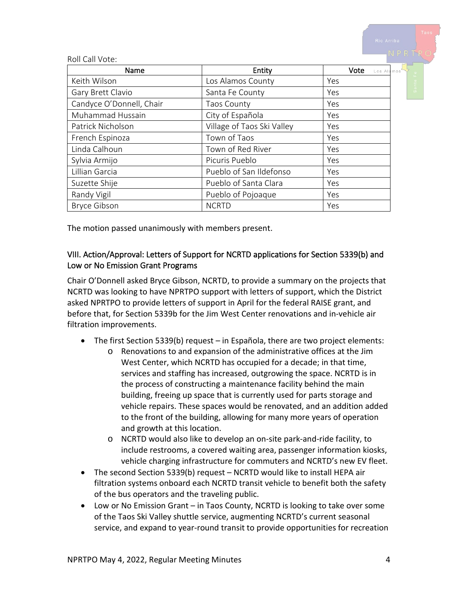|                          |                            | NIU AIIIU 4               |
|--------------------------|----------------------------|---------------------------|
| Roll Call Vote:          |                            | NPRTPO                    |
| Name                     | Entity                     | Vote<br>Los Alamos        |
| Keith Wilson             | Los Alamos County          | Yes                       |
| Gary Brett Clavio        | Santa Fe County            | $S^{\overline{a}}$<br>Yes |
| Candyce O'Donnell, Chair | <b>Taos County</b>         | <b>Yes</b>                |
| Muhammad Hussain         | City of Española           | Yes                       |
| Patrick Nicholson        | Village of Taos Ski Valley | Yes                       |
| French Espinoza          | Town of Taos               | Yes                       |
| Linda Calhoun            | Town of Red River          | Yes                       |
| Sylvia Armijo            | Picuris Pueblo             | Yes                       |
| Lillian Garcia           | Pueblo of San Ildefonso    | Yes                       |
| Suzette Shije            | Pueblo of Santa Clara      | Yes                       |
| Randy Vigil              | Pueblo of Pojoaque         | Yes                       |
| <b>Bryce Gibson</b>      | <b>NCRTD</b>               | Yes                       |

The motion passed unanimously with members present.

#### VIII. Action/Approval: Letters of Support for NCRTD applications for Section 5339(b) and Low or No Emission Grant Programs

Chair O'Donnell asked Bryce Gibson, NCRTD, to provide a summary on the projects that NCRTD was looking to have NPRTPO support with letters of support, which the District asked NPRTPO to provide letters of support in April for the federal RAISE grant, and before that, for Section 5339b for the Jim West Center renovations and in-vehicle air filtration improvements.

- The first Section 5339(b) request in Española, there are two project elements:
	- o Renovations to and expansion of the administrative offices at the Jim West Center, which NCRTD has occupied for a decade; in that time, services and staffing has increased, outgrowing the space. NCRTD is in the process of constructing a maintenance facility behind the main building, freeing up space that is currently used for parts storage and vehicle repairs. These spaces would be renovated, and an addition added to the front of the building, allowing for many more years of operation and growth at this location.
	- o NCRTD would also like to develop an on-site park-and-ride facility, to include restrooms, a covered waiting area, passenger information kiosks, vehicle charging infrastructure for commuters and NCRTD's new EV fleet.
- The second Section 5339(b) request NCRTD would like to install HEPA air filtration systems onboard each NCRTD transit vehicle to benefit both the safety of the bus operators and the traveling public.
- Low or No Emission Grant in Taos County, NCRTD is looking to take over some of the Taos Ski Valley shuttle service, augmenting NCRTD's current seasonal service, and expand to year-round transit to provide opportunities for recreation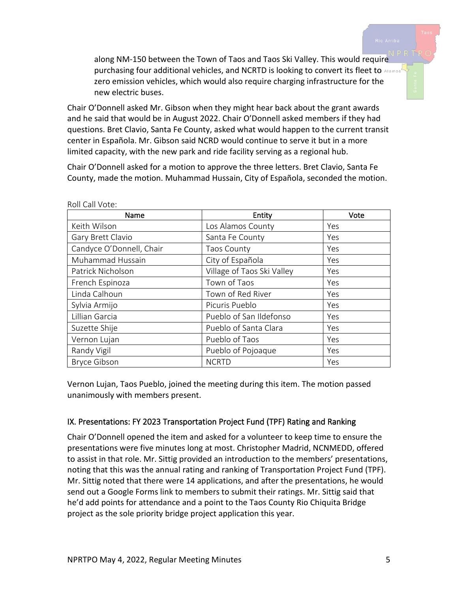along NM-150 between the Town of Taos and Taos Ski Valley. This would require purchasing four additional vehicles, and NCRTD is looking to convert its fleet to Alamosi zero emission vehicles, which would also require charging infrastructure for the new electric buses.

Chair O'Donnell asked Mr. Gibson when they might hear back about the grant awards and he said that would be in August 2022. Chair O'Donnell asked members if they had questions. Bret Clavio, Santa Fe County, asked what would happen to the current transit center in Española. Mr. Gibson said NCRD would continue to serve it but in a more limited capacity, with the new park and ride facility serving as a regional hub.

Chair O'Donnell asked for a motion to approve the three letters. Bret Clavio, Santa Fe County, made the motion. Muhammad Hussain, City of Española, seconded the motion.

| Name                     | Entity                     | Vote |
|--------------------------|----------------------------|------|
| Keith Wilson             | Los Alamos County          | Yes  |
| Gary Brett Clavio        | Santa Fe County            | Yes  |
| Candyce O'Donnell, Chair | <b>Taos County</b>         | Yes  |
| Muhammad Hussain         | City of Española           | Yes  |
| Patrick Nicholson        | Village of Taos Ski Valley | Yes  |
| French Espinoza          | Town of Taos               | Yes  |
| Linda Calhoun            | Town of Red River          | Yes  |
| Sylvia Armijo            | Picuris Pueblo             | Yes  |
| Lillian Garcia           | Pueblo of San Ildefonso    | Yes  |
| Suzette Shije            | Pueblo of Santa Clara      | Yes  |
| Vernon Lujan             | Pueblo of Taos             | Yes  |
| Randy Vigil              | Pueblo of Pojoaque         | Yes  |
| <b>Bryce Gibson</b>      | <b>NCRTD</b>               | Yes  |

Roll Call Vote:

Vernon Lujan, Taos Pueblo, joined the meeting during this item. The motion passed unanimously with members present.

#### IX. Presentations: FY 2023 Transportation Project Fund (TPF) Rating and Ranking

Chair O'Donnell opened the item and asked for a volunteer to keep time to ensure the presentations were five minutes long at most. Christopher Madrid, NCNMEDD, offered to assist in that role. Mr. Sittig provided an introduction to the members' presentations, noting that this was the annual rating and ranking of Transportation Project Fund (TPF). Mr. Sittig noted that there were 14 applications, and after the presentations, he would send out a Google Forms link to members to submit their ratings. Mr. Sittig said that he'd add points for attendance and a point to the Taos County Rio Chiquita Bridge project as the sole priority bridge project application this year.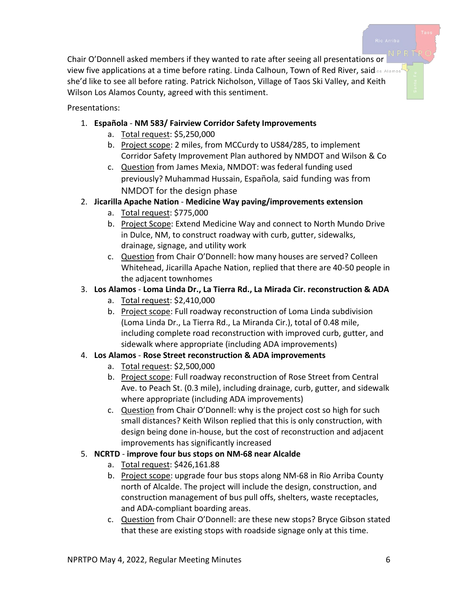Chair O'Donnell asked members if they wanted to rate after seeing all presentations or view five applications at a time before rating. Linda Calhoun, Town of Red River, said os Alamos she'd like to see all before rating. Patrick Nicholson, Village of Taos Ski Valley, and Keith Wilson Los Alamos County, agreed with this sentiment.

Presentations:

- 1. **Española NM 583/ Fairview Corridor Safety Improvements**
	- a. Total request: \$5,250,000
	- b. Project scope: 2 miles, from MCCurdy to US84/285, to implement Corridor Safety Improvement Plan authored by NMDOT and Wilson & Co
	- c. Question from James Mexia, NMDOT: was federal funding used previously? Muhammad Hussain, Española, said funding was from NMDOT for the design phase

# 2. **Jicarilla Apache Nation** - **Medicine Way paving/improvements extension**

- a. Total request: \$775,000
- b. Project Scope: Extend Medicine Way and connect to North Mundo Drive in Dulce, NM, to construct roadway with curb, gutter, sidewalks, drainage, signage, and utility work
- c. Question from Chair O'Donnell: how many houses are served? Colleen Whitehead, Jicarilla Apache Nation, replied that there are 40-50 people in the adjacent townhomes

# 3. **Los Alamos** - **Loma Linda Dr., La Tierra Rd., La Mirada Cir. reconstruction & ADA**

- a. Total request: \$2,410,000
- b. Project scope: Full roadway reconstruction of Loma Linda subdivision (Loma Linda Dr., La Tierra Rd., La Miranda Cir.), total of 0.48 mile, including complete road reconstruction with improved curb, gutter, and sidewalk where appropriate (including ADA improvements)

# 4. **Los Alamos** - **Rose Street reconstruction & ADA improvements**

- a. Total request: \$2,500,000
- b. Project scope: Full roadway reconstruction of Rose Street from Central Ave. to Peach St. (0.3 mile), including drainage, curb, gutter, and sidewalk where appropriate (including ADA improvements)
- c. Question from Chair O'Donnell: why is the project cost so high for such small distances? Keith Wilson replied that this is only construction, with design being done in-house, but the cost of reconstruction and adjacent improvements has significantly increased

# 5. **NCRTD** - **improve four bus stops on NM-68 near Alcalde**

- a. Total request: \$426,161.88
- b. Project scope: upgrade four bus stops along NM-68 in Rio Arriba County north of Alcalde. The project will include the design, construction, and construction management of bus pull offs, shelters, waste receptacles, and ADA-compliant boarding areas.
- c. Question from Chair O'Donnell: are these new stops? Bryce Gibson stated that these are existing stops with roadside signage only at this time.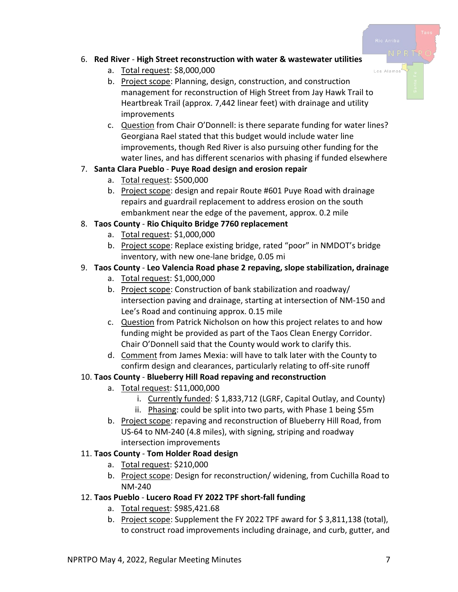#### 6. **Red River** - **High Street reconstruction with water & wastewater utilities**

- a. Total request: \$8,000,000
- b. Project scope: Planning, design, construction, and construction management for reconstruction of High Street from Jay Hawk Trail to Heartbreak Trail (approx. 7,442 linear feet) with drainage and utility improvements
- c. Question from Chair O'Donnell: is there separate funding for water lines? Georgiana Rael stated that this budget would include water line improvements, though Red River is also pursuing other funding for the water lines, and has different scenarios with phasing if funded elsewhere

# 7. **Santa Clara Pueblo** - **Puye Road design and erosion repair**

- a. Total request: \$500,000
- b. Project scope: design and repair Route #601 Puye Road with drainage repairs and guardrail replacement to address erosion on the south embankment near the edge of the pavement, approx. 0.2 mile

# 8. **Taos County** - **Rio Chiquito Bridge 7760 replacement**

- a. Total request: \$1,000,000
- b. Project scope: Replace existing bridge, rated "poor" in NMDOT's bridge inventory, with new one-lane bridge, 0.05 mi

# 9. **Taos County** - **Leo Valencia Road phase 2 repaving, slope stabilization, drainage**

- a. Total request: \$1,000,000
- b. Project scope: Construction of bank stabilization and roadway/ intersection paving and drainage, starting at intersection of NM-150 and Lee's Road and continuing approx. 0.15 mile
- c. Question from Patrick Nicholson on how this project relates to and how funding might be provided as part of the Taos Clean Energy Corridor. Chair O'Donnell said that the County would work to clarify this.
- d. Comment from James Mexia: will have to talk later with the County to confirm design and clearances, particularly relating to off-site runoff

# 10. **Taos County** - **Blueberry Hill Road repaving and reconstruction**

- a. Total request: \$11,000,000
	- i. Currently funded: \$ 1,833,712 (LGRF, Capital Outlay, and County)
	- ii. Phasing: could be split into two parts, with Phase 1 being \$5m
- b. Project scope: repaving and reconstruction of Blueberry Hill Road, from US-64 to NM-240 (4.8 miles), with signing, striping and roadway intersection improvements

# 11. **Taos County** - **Tom Holder Road design**

- a. Total request: \$210,000
- b. Project scope: Design for reconstruction/ widening, from Cuchilla Road to NM-240

# 12. **Taos Pueblo** - **Lucero Road FY 2022 TPF short-fall funding**

- a. Total request: \$985,421.68
- b. Project scope: Supplement the FY 2022 TPF award for \$ 3,811,138 (total), to construct road improvements including drainage, and curb, gutter, and

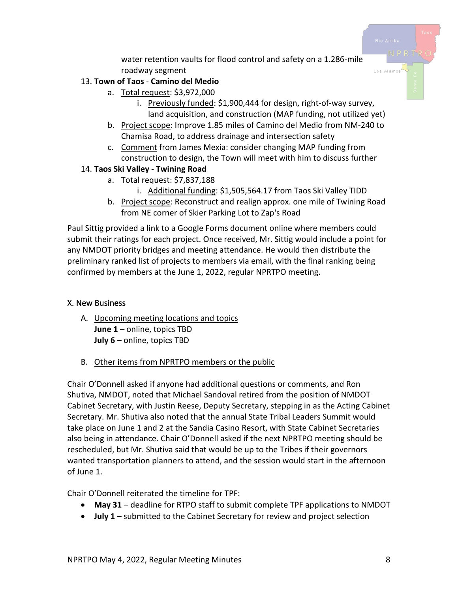water retention vaults for flood control and safety on a 1.286-mile roadway segment

#### 13. **Town of Taos** - **Camino del Medio**

- a. Total request: \$3,972,000
	- i. Previously funded: \$1,900,444 for design, right-of-way survey, land acquisition, and construction (MAP funding, not utilized yet)
- b. Project scope: Improve 1.85 miles of Camino del Medio from NM-240 to Chamisa Road, to address drainage and intersection safety
- c. Comment from James Mexia: consider changing MAP funding from construction to design, the Town will meet with him to discuss further

#### 14. **Taos Ski Valley** - **Twining Road**

- a. Total request: \$7,837,188
	- i. Additional funding: \$1,505,564.17 from Taos Ski Valley TIDD
- b. Project scope: Reconstruct and realign approx. one mile of Twining Road from NE corner of Skier Parking Lot to Zap's Road

Paul Sittig provided a link to a Google Forms document online where members could submit their ratings for each project. Once received, Mr. Sittig would include a point for any NMDOT priority bridges and meeting attendance. He would then distribute the preliminary ranked list of projects to members via email, with the final ranking being confirmed by members at the June 1, 2022, regular NPRTPO meeting.

#### X. New Business

- A. Upcoming meeting locations and topics **June 1** – online, topics TBD **July 6** – online, topics TBD
- B. Other items from NPRTPO members or the public

Chair O'Donnell asked if anyone had additional questions or comments, and Ron Shutiva, NMDOT, noted that Michael Sandoval retired from the position of NMDOT Cabinet Secretary, with Justin Reese, Deputy Secretary, stepping in as the Acting Cabinet Secretary. Mr. Shutiva also noted that the annual State Tribal Leaders Summit would take place on June 1 and 2 at the Sandia Casino Resort, with State Cabinet Secretaries also being in attendance. Chair O'Donnell asked if the next NPRTPO meeting should be rescheduled, but Mr. Shutiva said that would be up to the Tribes if their governors wanted transportation planners to attend, and the session would start in the afternoon of June 1.

Chair O'Donnell reiterated the timeline for TPF:

- **May 31** deadline for RTPO staff to submit complete TPF applications to NMDOT
- **July 1** submitted to the Cabinet Secretary for review and project selection

Los Alamo